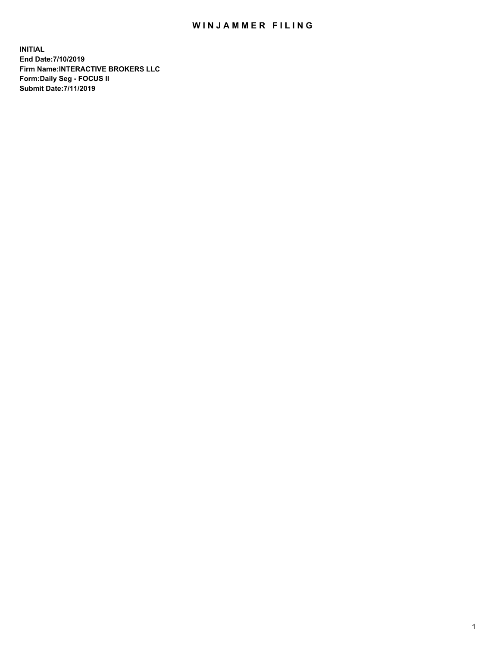## WIN JAMMER FILING

**INITIAL End Date:7/10/2019 Firm Name:INTERACTIVE BROKERS LLC Form:Daily Seg - FOCUS II Submit Date:7/11/2019**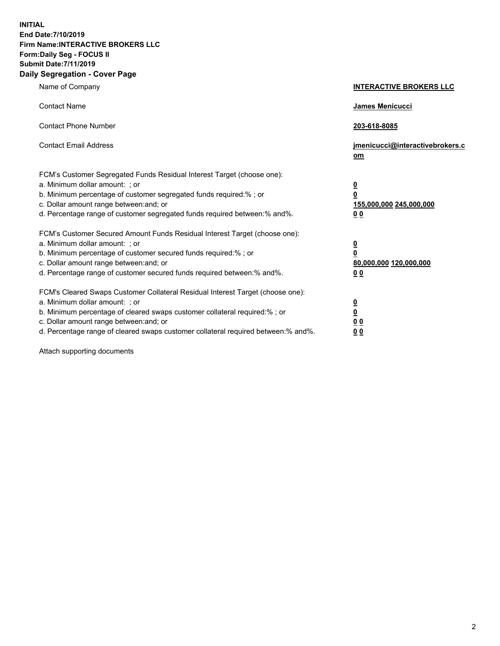**INITIAL End Date:7/10/2019 Firm Name:INTERACTIVE BROKERS LLC Form:Daily Seg - FOCUS II Submit Date:7/11/2019 Daily Segregation - Cover Page**

| Name of Company                                                                                                                                                                                                                                                                                                                | <b>INTERACTIVE BROKERS LLC</b>                                                                  |
|--------------------------------------------------------------------------------------------------------------------------------------------------------------------------------------------------------------------------------------------------------------------------------------------------------------------------------|-------------------------------------------------------------------------------------------------|
| <b>Contact Name</b>                                                                                                                                                                                                                                                                                                            | James Menicucci                                                                                 |
| <b>Contact Phone Number</b>                                                                                                                                                                                                                                                                                                    | 203-618-8085                                                                                    |
| <b>Contact Email Address</b>                                                                                                                                                                                                                                                                                                   | jmenicucci@interactivebrokers.c<br>om                                                           |
| FCM's Customer Segregated Funds Residual Interest Target (choose one):<br>a. Minimum dollar amount: ; or<br>b. Minimum percentage of customer segregated funds required:% ; or<br>c. Dollar amount range between: and; or<br>d. Percentage range of customer segregated funds required between:% and%.                         | $\overline{\mathbf{0}}$<br>$\overline{\mathbf{0}}$<br>155,000,000 245,000,000<br>0 <sub>0</sub> |
| FCM's Customer Secured Amount Funds Residual Interest Target (choose one):<br>a. Minimum dollar amount: ; or<br>b. Minimum percentage of customer secured funds required:%; or<br>c. Dollar amount range between: and; or<br>d. Percentage range of customer secured funds required between:% and%.                            | $\overline{\mathbf{0}}$<br>$\overline{\mathbf{0}}$<br>80,000,000 120,000,000<br>00              |
| FCM's Cleared Swaps Customer Collateral Residual Interest Target (choose one):<br>a. Minimum dollar amount: ; or<br>b. Minimum percentage of cleared swaps customer collateral required:% ; or<br>c. Dollar amount range between: and; or<br>d. Percentage range of cleared swaps customer collateral required between:% and%. | $\overline{\mathbf{0}}$<br>$\underline{\mathbf{0}}$<br>0 <sub>0</sub><br>0 <sub>0</sub>         |

Attach supporting documents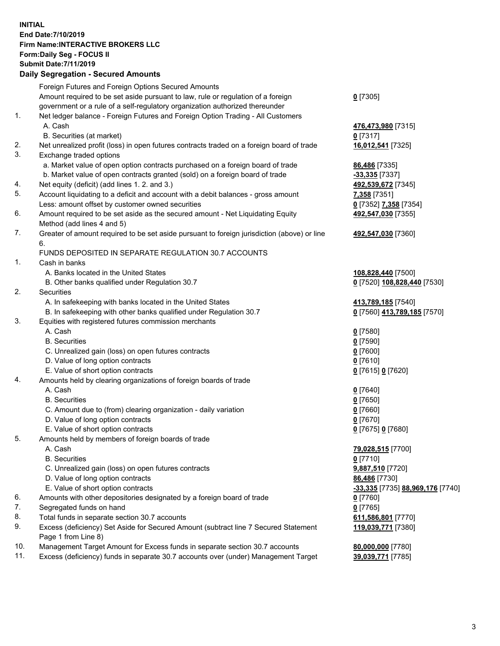## **INITIAL End Date:7/10/2019 Firm Name:INTERACTIVE BROKERS LLC Form:Daily Seg - FOCUS II Submit Date:7/11/2019 Daily Segregation - Secured Amounts**

| Foreign Futures and Foreign Options Secured Amounts                                |                                                                                                                                                                                                                                                                                                                                                                                                                                                                                                                                                                                                                                                                                                                                                                                                                                                                                                                                                                                                                                                                                                                                                                                                                                                                                                                                                                                                                                                                                                                                                                                                                                                                                                                                                                                                                                                                     |
|------------------------------------------------------------------------------------|---------------------------------------------------------------------------------------------------------------------------------------------------------------------------------------------------------------------------------------------------------------------------------------------------------------------------------------------------------------------------------------------------------------------------------------------------------------------------------------------------------------------------------------------------------------------------------------------------------------------------------------------------------------------------------------------------------------------------------------------------------------------------------------------------------------------------------------------------------------------------------------------------------------------------------------------------------------------------------------------------------------------------------------------------------------------------------------------------------------------------------------------------------------------------------------------------------------------------------------------------------------------------------------------------------------------------------------------------------------------------------------------------------------------------------------------------------------------------------------------------------------------------------------------------------------------------------------------------------------------------------------------------------------------------------------------------------------------------------------------------------------------------------------------------------------------------------------------------------------------|
| Amount required to be set aside pursuant to law, rule or regulation of a foreign   | $0$ [7305]                                                                                                                                                                                                                                                                                                                                                                                                                                                                                                                                                                                                                                                                                                                                                                                                                                                                                                                                                                                                                                                                                                                                                                                                                                                                                                                                                                                                                                                                                                                                                                                                                                                                                                                                                                                                                                                          |
|                                                                                    |                                                                                                                                                                                                                                                                                                                                                                                                                                                                                                                                                                                                                                                                                                                                                                                                                                                                                                                                                                                                                                                                                                                                                                                                                                                                                                                                                                                                                                                                                                                                                                                                                                                                                                                                                                                                                                                                     |
|                                                                                    |                                                                                                                                                                                                                                                                                                                                                                                                                                                                                                                                                                                                                                                                                                                                                                                                                                                                                                                                                                                                                                                                                                                                                                                                                                                                                                                                                                                                                                                                                                                                                                                                                                                                                                                                                                                                                                                                     |
|                                                                                    | 476,473,980 [7315]                                                                                                                                                                                                                                                                                                                                                                                                                                                                                                                                                                                                                                                                                                                                                                                                                                                                                                                                                                                                                                                                                                                                                                                                                                                                                                                                                                                                                                                                                                                                                                                                                                                                                                                                                                                                                                                  |
|                                                                                    | $0$ [7317]                                                                                                                                                                                                                                                                                                                                                                                                                                                                                                                                                                                                                                                                                                                                                                                                                                                                                                                                                                                                                                                                                                                                                                                                                                                                                                                                                                                                                                                                                                                                                                                                                                                                                                                                                                                                                                                          |
|                                                                                    | 16,012,541 [7325]                                                                                                                                                                                                                                                                                                                                                                                                                                                                                                                                                                                                                                                                                                                                                                                                                                                                                                                                                                                                                                                                                                                                                                                                                                                                                                                                                                                                                                                                                                                                                                                                                                                                                                                                                                                                                                                   |
|                                                                                    |                                                                                                                                                                                                                                                                                                                                                                                                                                                                                                                                                                                                                                                                                                                                                                                                                                                                                                                                                                                                                                                                                                                                                                                                                                                                                                                                                                                                                                                                                                                                                                                                                                                                                                                                                                                                                                                                     |
|                                                                                    | 86,486 [7335]                                                                                                                                                                                                                                                                                                                                                                                                                                                                                                                                                                                                                                                                                                                                                                                                                                                                                                                                                                                                                                                                                                                                                                                                                                                                                                                                                                                                                                                                                                                                                                                                                                                                                                                                                                                                                                                       |
|                                                                                    | -33,335 [7337]                                                                                                                                                                                                                                                                                                                                                                                                                                                                                                                                                                                                                                                                                                                                                                                                                                                                                                                                                                                                                                                                                                                                                                                                                                                                                                                                                                                                                                                                                                                                                                                                                                                                                                                                                                                                                                                      |
|                                                                                    | 492,539,672 [7345]                                                                                                                                                                                                                                                                                                                                                                                                                                                                                                                                                                                                                                                                                                                                                                                                                                                                                                                                                                                                                                                                                                                                                                                                                                                                                                                                                                                                                                                                                                                                                                                                                                                                                                                                                                                                                                                  |
|                                                                                    | 7,358 [7351]                                                                                                                                                                                                                                                                                                                                                                                                                                                                                                                                                                                                                                                                                                                                                                                                                                                                                                                                                                                                                                                                                                                                                                                                                                                                                                                                                                                                                                                                                                                                                                                                                                                                                                                                                                                                                                                        |
|                                                                                    | 0 [7352] 7,358 [7354]                                                                                                                                                                                                                                                                                                                                                                                                                                                                                                                                                                                                                                                                                                                                                                                                                                                                                                                                                                                                                                                                                                                                                                                                                                                                                                                                                                                                                                                                                                                                                                                                                                                                                                                                                                                                                                               |
|                                                                                    | 492,547,030 [7355]                                                                                                                                                                                                                                                                                                                                                                                                                                                                                                                                                                                                                                                                                                                                                                                                                                                                                                                                                                                                                                                                                                                                                                                                                                                                                                                                                                                                                                                                                                                                                                                                                                                                                                                                                                                                                                                  |
|                                                                                    |                                                                                                                                                                                                                                                                                                                                                                                                                                                                                                                                                                                                                                                                                                                                                                                                                                                                                                                                                                                                                                                                                                                                                                                                                                                                                                                                                                                                                                                                                                                                                                                                                                                                                                                                                                                                                                                                     |
|                                                                                    | 492,547,030 [7360]                                                                                                                                                                                                                                                                                                                                                                                                                                                                                                                                                                                                                                                                                                                                                                                                                                                                                                                                                                                                                                                                                                                                                                                                                                                                                                                                                                                                                                                                                                                                                                                                                                                                                                                                                                                                                                                  |
|                                                                                    |                                                                                                                                                                                                                                                                                                                                                                                                                                                                                                                                                                                                                                                                                                                                                                                                                                                                                                                                                                                                                                                                                                                                                                                                                                                                                                                                                                                                                                                                                                                                                                                                                                                                                                                                                                                                                                                                     |
|                                                                                    |                                                                                                                                                                                                                                                                                                                                                                                                                                                                                                                                                                                                                                                                                                                                                                                                                                                                                                                                                                                                                                                                                                                                                                                                                                                                                                                                                                                                                                                                                                                                                                                                                                                                                                                                                                                                                                                                     |
|                                                                                    | 108,828,440 [7500]                                                                                                                                                                                                                                                                                                                                                                                                                                                                                                                                                                                                                                                                                                                                                                                                                                                                                                                                                                                                                                                                                                                                                                                                                                                                                                                                                                                                                                                                                                                                                                                                                                                                                                                                                                                                                                                  |
|                                                                                    | 0 [7520] 108,828,440 [7530]                                                                                                                                                                                                                                                                                                                                                                                                                                                                                                                                                                                                                                                                                                                                                                                                                                                                                                                                                                                                                                                                                                                                                                                                                                                                                                                                                                                                                                                                                                                                                                                                                                                                                                                                                                                                                                         |
|                                                                                    |                                                                                                                                                                                                                                                                                                                                                                                                                                                                                                                                                                                                                                                                                                                                                                                                                                                                                                                                                                                                                                                                                                                                                                                                                                                                                                                                                                                                                                                                                                                                                                                                                                                                                                                                                                                                                                                                     |
|                                                                                    | 413,789,185 [7540]                                                                                                                                                                                                                                                                                                                                                                                                                                                                                                                                                                                                                                                                                                                                                                                                                                                                                                                                                                                                                                                                                                                                                                                                                                                                                                                                                                                                                                                                                                                                                                                                                                                                                                                                                                                                                                                  |
|                                                                                    | 0 [7560] 413,789,185 [7570]                                                                                                                                                                                                                                                                                                                                                                                                                                                                                                                                                                                                                                                                                                                                                                                                                                                                                                                                                                                                                                                                                                                                                                                                                                                                                                                                                                                                                                                                                                                                                                                                                                                                                                                                                                                                                                         |
|                                                                                    |                                                                                                                                                                                                                                                                                                                                                                                                                                                                                                                                                                                                                                                                                                                                                                                                                                                                                                                                                                                                                                                                                                                                                                                                                                                                                                                                                                                                                                                                                                                                                                                                                                                                                                                                                                                                                                                                     |
|                                                                                    | $0$ [7580]                                                                                                                                                                                                                                                                                                                                                                                                                                                                                                                                                                                                                                                                                                                                                                                                                                                                                                                                                                                                                                                                                                                                                                                                                                                                                                                                                                                                                                                                                                                                                                                                                                                                                                                                                                                                                                                          |
|                                                                                    | $0$ [7590]                                                                                                                                                                                                                                                                                                                                                                                                                                                                                                                                                                                                                                                                                                                                                                                                                                                                                                                                                                                                                                                                                                                                                                                                                                                                                                                                                                                                                                                                                                                                                                                                                                                                                                                                                                                                                                                          |
|                                                                                    | $0$ [7600]                                                                                                                                                                                                                                                                                                                                                                                                                                                                                                                                                                                                                                                                                                                                                                                                                                                                                                                                                                                                                                                                                                                                                                                                                                                                                                                                                                                                                                                                                                                                                                                                                                                                                                                                                                                                                                                          |
|                                                                                    | $0$ [7610]                                                                                                                                                                                                                                                                                                                                                                                                                                                                                                                                                                                                                                                                                                                                                                                                                                                                                                                                                                                                                                                                                                                                                                                                                                                                                                                                                                                                                                                                                                                                                                                                                                                                                                                                                                                                                                                          |
|                                                                                    | 0 [7615] 0 [7620]                                                                                                                                                                                                                                                                                                                                                                                                                                                                                                                                                                                                                                                                                                                                                                                                                                                                                                                                                                                                                                                                                                                                                                                                                                                                                                                                                                                                                                                                                                                                                                                                                                                                                                                                                                                                                                                   |
|                                                                                    |                                                                                                                                                                                                                                                                                                                                                                                                                                                                                                                                                                                                                                                                                                                                                                                                                                                                                                                                                                                                                                                                                                                                                                                                                                                                                                                                                                                                                                                                                                                                                                                                                                                                                                                                                                                                                                                                     |
| A. Cash                                                                            | $0$ [7640]                                                                                                                                                                                                                                                                                                                                                                                                                                                                                                                                                                                                                                                                                                                                                                                                                                                                                                                                                                                                                                                                                                                                                                                                                                                                                                                                                                                                                                                                                                                                                                                                                                                                                                                                                                                                                                                          |
| <b>B.</b> Securities                                                               | $0$ [7650]                                                                                                                                                                                                                                                                                                                                                                                                                                                                                                                                                                                                                                                                                                                                                                                                                                                                                                                                                                                                                                                                                                                                                                                                                                                                                                                                                                                                                                                                                                                                                                                                                                                                                                                                                                                                                                                          |
| C. Amount due to (from) clearing organization - daily variation                    | $0$ [7660]                                                                                                                                                                                                                                                                                                                                                                                                                                                                                                                                                                                                                                                                                                                                                                                                                                                                                                                                                                                                                                                                                                                                                                                                                                                                                                                                                                                                                                                                                                                                                                                                                                                                                                                                                                                                                                                          |
| D. Value of long option contracts                                                  | $0$ [7670]                                                                                                                                                                                                                                                                                                                                                                                                                                                                                                                                                                                                                                                                                                                                                                                                                                                                                                                                                                                                                                                                                                                                                                                                                                                                                                                                                                                                                                                                                                                                                                                                                                                                                                                                                                                                                                                          |
| E. Value of short option contracts                                                 | 0 [7675] 0 [7680]                                                                                                                                                                                                                                                                                                                                                                                                                                                                                                                                                                                                                                                                                                                                                                                                                                                                                                                                                                                                                                                                                                                                                                                                                                                                                                                                                                                                                                                                                                                                                                                                                                                                                                                                                                                                                                                   |
| Amounts held by members of foreign boards of trade                                 |                                                                                                                                                                                                                                                                                                                                                                                                                                                                                                                                                                                                                                                                                                                                                                                                                                                                                                                                                                                                                                                                                                                                                                                                                                                                                                                                                                                                                                                                                                                                                                                                                                                                                                                                                                                                                                                                     |
| A. Cash                                                                            | 79,028,515 [7700]                                                                                                                                                                                                                                                                                                                                                                                                                                                                                                                                                                                                                                                                                                                                                                                                                                                                                                                                                                                                                                                                                                                                                                                                                                                                                                                                                                                                                                                                                                                                                                                                                                                                                                                                                                                                                                                   |
| <b>B.</b> Securities                                                               | $0$ [7710]                                                                                                                                                                                                                                                                                                                                                                                                                                                                                                                                                                                                                                                                                                                                                                                                                                                                                                                                                                                                                                                                                                                                                                                                                                                                                                                                                                                                                                                                                                                                                                                                                                                                                                                                                                                                                                                          |
| C. Unrealized gain (loss) on open futures contracts                                | 9,887,510 [7720]                                                                                                                                                                                                                                                                                                                                                                                                                                                                                                                                                                                                                                                                                                                                                                                                                                                                                                                                                                                                                                                                                                                                                                                                                                                                                                                                                                                                                                                                                                                                                                                                                                                                                                                                                                                                                                                    |
| D. Value of long option contracts                                                  | 86,486 [7730]                                                                                                                                                                                                                                                                                                                                                                                                                                                                                                                                                                                                                                                                                                                                                                                                                                                                                                                                                                                                                                                                                                                                                                                                                                                                                                                                                                                                                                                                                                                                                                                                                                                                                                                                                                                                                                                       |
|                                                                                    | -33,335 [7735] 88,969,176 [7740]                                                                                                                                                                                                                                                                                                                                                                                                                                                                                                                                                                                                                                                                                                                                                                                                                                                                                                                                                                                                                                                                                                                                                                                                                                                                                                                                                                                                                                                                                                                                                                                                                                                                                                                                                                                                                                    |
|                                                                                    | 0 [7760]                                                                                                                                                                                                                                                                                                                                                                                                                                                                                                                                                                                                                                                                                                                                                                                                                                                                                                                                                                                                                                                                                                                                                                                                                                                                                                                                                                                                                                                                                                                                                                                                                                                                                                                                                                                                                                                            |
|                                                                                    | $0$ [7765]                                                                                                                                                                                                                                                                                                                                                                                                                                                                                                                                                                                                                                                                                                                                                                                                                                                                                                                                                                                                                                                                                                                                                                                                                                                                                                                                                                                                                                                                                                                                                                                                                                                                                                                                                                                                                                                          |
|                                                                                    | 611,586,801 [7770]                                                                                                                                                                                                                                                                                                                                                                                                                                                                                                                                                                                                                                                                                                                                                                                                                                                                                                                                                                                                                                                                                                                                                                                                                                                                                                                                                                                                                                                                                                                                                                                                                                                                                                                                                                                                                                                  |
| Page 1 from Line 8)                                                                | 119,039,771 [7380]                                                                                                                                                                                                                                                                                                                                                                                                                                                                                                                                                                                                                                                                                                                                                                                                                                                                                                                                                                                                                                                                                                                                                                                                                                                                                                                                                                                                                                                                                                                                                                                                                                                                                                                                                                                                                                                  |
| Management Target Amount for Excess funds in separate section 30.7 accounts        | 80,000,000 [7780]                                                                                                                                                                                                                                                                                                                                                                                                                                                                                                                                                                                                                                                                                                                                                                                                                                                                                                                                                                                                                                                                                                                                                                                                                                                                                                                                                                                                                                                                                                                                                                                                                                                                                                                                                                                                                                                   |
| Excess (deficiency) funds in separate 30.7 accounts over (under) Management Target | 39,039,771 [7785]                                                                                                                                                                                                                                                                                                                                                                                                                                                                                                                                                                                                                                                                                                                                                                                                                                                                                                                                                                                                                                                                                                                                                                                                                                                                                                                                                                                                                                                                                                                                                                                                                                                                                                                                                                                                                                                   |
|                                                                                    | Daily Segregation - Secured Amounts<br>government or a rule of a self-regulatory organization authorized thereunder<br>Net ledger balance - Foreign Futures and Foreign Option Trading - All Customers<br>A. Cash<br>B. Securities (at market)<br>Net unrealized profit (loss) in open futures contracts traded on a foreign board of trade<br>Exchange traded options<br>a. Market value of open option contracts purchased on a foreign board of trade<br>b. Market value of open contracts granted (sold) on a foreign board of trade<br>Net equity (deficit) (add lines 1. 2. and 3.)<br>Account liquidating to a deficit and account with a debit balances - gross amount<br>Less: amount offset by customer owned securities<br>Amount required to be set aside as the secured amount - Net Liquidating Equity<br>Method (add lines 4 and 5)<br>Greater of amount required to be set aside pursuant to foreign jurisdiction (above) or line<br>6.<br>FUNDS DEPOSITED IN SEPARATE REGULATION 30.7 ACCOUNTS<br>Cash in banks<br>A. Banks located in the United States<br>B. Other banks qualified under Regulation 30.7<br>Securities<br>A. In safekeeping with banks located in the United States<br>B. In safekeeping with other banks qualified under Regulation 30.7<br>Equities with registered futures commission merchants<br>A. Cash<br><b>B.</b> Securities<br>C. Unrealized gain (loss) on open futures contracts<br>D. Value of long option contracts<br>E. Value of short option contracts<br>Amounts held by clearing organizations of foreign boards of trade<br>E. Value of short option contracts<br>Amounts with other depositories designated by a foreign board of trade<br>Segregated funds on hand<br>Total funds in separate section 30.7 accounts<br>Excess (deficiency) Set Aside for Secured Amount (subtract line 7 Secured Statement |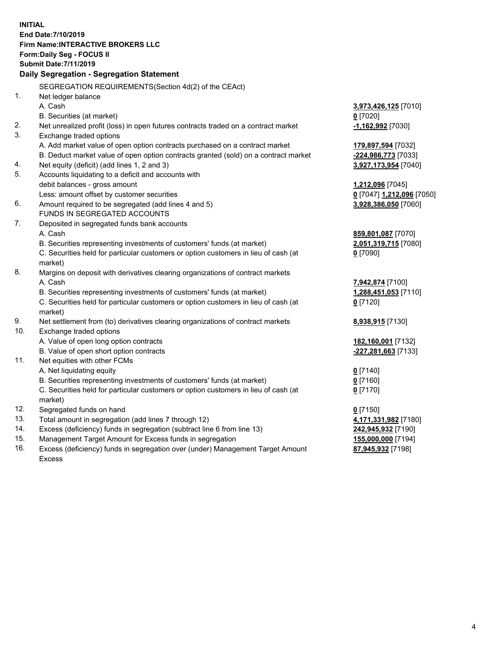**INITIAL End Date:7/10/2019 Firm Name:INTERACTIVE BROKERS LLC Form:Daily Seg - FOCUS II Submit Date:7/11/2019 Daily Segregation - Segregation Statement** SEGREGATION REQUIREMENTS(Section 4d(2) of the CEAct) 1. Net ledger balance A. Cash **3,973,426,125** [7010] B. Securities (at market) **0** [7020] 2. Net unrealized profit (loss) in open futures contracts traded on a contract market **-1,162,992** [7030] 3. Exchange traded options A. Add market value of open option contracts purchased on a contract market **179,897,594** [7032] B. Deduct market value of open option contracts granted (sold) on a contract market **-224,986,773** [7033] 4. Net equity (deficit) (add lines 1, 2 and 3) **3,927,173,954** [7040] 5. Accounts liquidating to a deficit and accounts with debit balances - gross amount **1,212,096** [7045] Less: amount offset by customer securities **0** [7047] **1,212,096** [7050] 6. Amount required to be segregated (add lines 4 and 5) **3,928,386,050** [7060] FUNDS IN SEGREGATED ACCOUNTS 7. Deposited in segregated funds bank accounts A. Cash **859,801,087** [7070] B. Securities representing investments of customers' funds (at market) **2,051,319,715** [7080] C. Securities held for particular customers or option customers in lieu of cash (at market) **0** [7090] 8. Margins on deposit with derivatives clearing organizations of contract markets A. Cash **7,942,874** [7100] B. Securities representing investments of customers' funds (at market) **1,288,451,053** [7110] C. Securities held for particular customers or option customers in lieu of cash (at market) **0** [7120] 9. Net settlement from (to) derivatives clearing organizations of contract markets **8,938,915** [7130] 10. Exchange traded options A. Value of open long option contracts **182,160,001** [7132] B. Value of open short option contracts **-227,281,663** [7133] 11. Net equities with other FCMs A. Net liquidating equity **0** [7140] B. Securities representing investments of customers' funds (at market) **0** [7160] C. Securities held for particular customers or option customers in lieu of cash (at market) **0** [7170] 12. Segregated funds on hand **0** [7150] 13. Total amount in segregation (add lines 7 through 12) **4,171,331,982** [7180] 14. Excess (deficiency) funds in segregation (subtract line 6 from line 13) **242,945,932** [7190] 15. Management Target Amount for Excess funds in segregation **155,000,000** [7194]

16. Excess (deficiency) funds in segregation over (under) Management Target Amount Excess

**87,945,932** [7198]